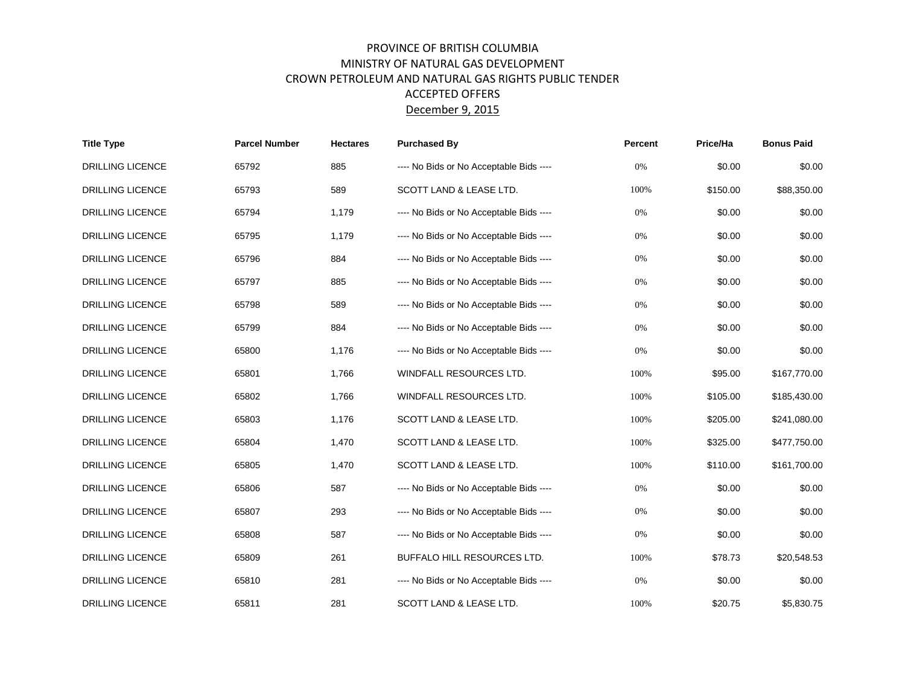## PROVINCE OF BRITISH COLUMBIA MINISTRY OF NATURAL GAS DEVELOPMENT CROWN PETROLEUM AND NATURAL GAS RIGHTS PUBLIC TENDER ACCEPTED OFFERS December 9, 2015

| <b>Title Type</b>       | <b>Parcel Number</b> | <b>Hectares</b> | <b>Purchased By</b>                     | Percent | Price/Ha | <b>Bonus Paid</b> |
|-------------------------|----------------------|-----------------|-----------------------------------------|---------|----------|-------------------|
| <b>DRILLING LICENCE</b> | 65792                | 885             | ---- No Bids or No Acceptable Bids ---- | 0%      | \$0.00   | \$0.00            |
| <b>DRILLING LICENCE</b> | 65793                | 589             | SCOTT LAND & LEASE LTD.                 | 100%    | \$150.00 | \$88,350.00       |
| <b>DRILLING LICENCE</b> | 65794                | 1,179           | ---- No Bids or No Acceptable Bids ---- | 0%      | \$0.00   | \$0.00            |
| <b>DRILLING LICENCE</b> | 65795                | 1,179           | ---- No Bids or No Acceptable Bids ---- | 0%      | \$0.00   | \$0.00            |
| <b>DRILLING LICENCE</b> | 65796                | 884             | ---- No Bids or No Acceptable Bids ---- | 0%      | \$0.00   | \$0.00            |
| <b>DRILLING LICENCE</b> | 65797                | 885             | ---- No Bids or No Acceptable Bids ---- | 0%      | \$0.00   | \$0.00            |
| <b>DRILLING LICENCE</b> | 65798                | 589             | ---- No Bids or No Acceptable Bids ---- | 0%      | \$0.00   | \$0.00            |
| <b>DRILLING LICENCE</b> | 65799                | 884             | ---- No Bids or No Acceptable Bids ---- | 0%      | \$0.00   | \$0.00            |
| <b>DRILLING LICENCE</b> | 65800                | 1,176           | ---- No Bids or No Acceptable Bids ---- | 0%      | \$0.00   | \$0.00            |
| <b>DRILLING LICENCE</b> | 65801                | 1,766           | WINDFALL RESOURCES LTD.                 | 100%    | \$95.00  | \$167,770.00      |
| <b>DRILLING LICENCE</b> | 65802                | 1,766           | WINDFALL RESOURCES LTD.                 | 100%    | \$105.00 | \$185,430.00      |
| DRILLING LICENCE        | 65803                | 1,176           | SCOTT LAND & LEASE LTD.                 | 100%    | \$205.00 | \$241,080.00      |
| <b>DRILLING LICENCE</b> | 65804                | 1,470           | SCOTT LAND & LEASE LTD.                 | 100%    | \$325.00 | \$477,750.00      |
| DRILLING LICENCE        | 65805                | 1,470           | SCOTT LAND & LEASE LTD.                 | 100%    | \$110.00 | \$161,700.00      |
| DRILLING LICENCE        | 65806                | 587             | ---- No Bids or No Acceptable Bids ---- | $0\%$   | \$0.00   | \$0.00            |
| <b>DRILLING LICENCE</b> | 65807                | 293             | ---- No Bids or No Acceptable Bids ---- | 0%      | \$0.00   | \$0.00            |
| <b>DRILLING LICENCE</b> | 65808                | 587             | ---- No Bids or No Acceptable Bids ---- | 0%      | \$0.00   | \$0.00            |
| <b>DRILLING LICENCE</b> | 65809                | 261             | BUFFALO HILL RESOURCES LTD.             | 100%    | \$78.73  | \$20,548.53       |
| DRILLING LICENCE        | 65810                | 281             | ---- No Bids or No Acceptable Bids ---- | 0%      | \$0.00   | \$0.00            |
| <b>DRILLING LICENCE</b> | 65811                | 281             | SCOTT LAND & LEASE LTD.                 | 100%    | \$20.75  | \$5,830.75        |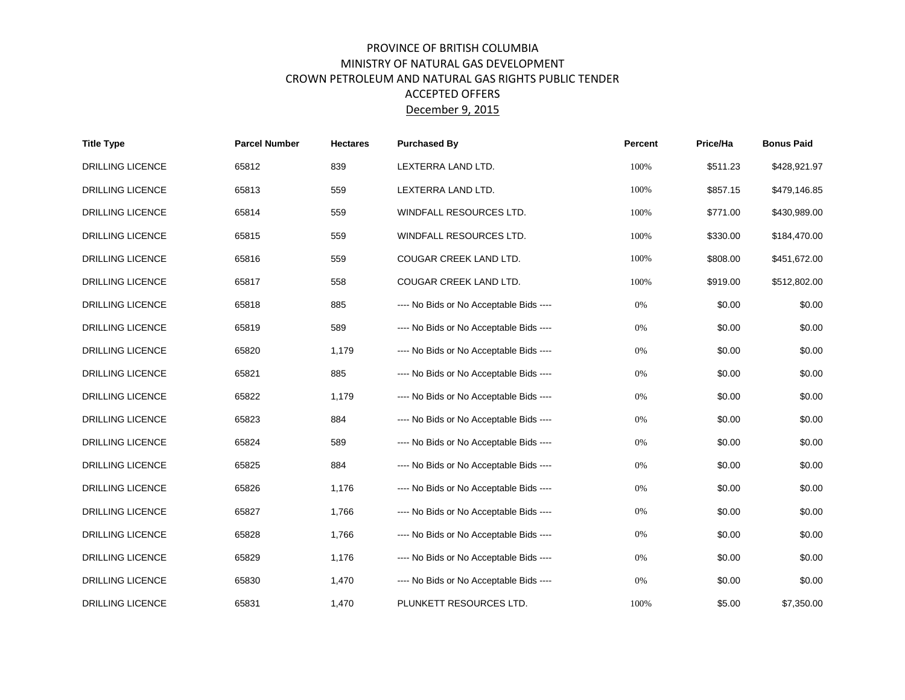## PROVINCE OF BRITISH COLUMBIA MINISTRY OF NATURAL GAS DEVELOPMENT CROWN PETROLEUM AND NATURAL GAS RIGHTS PUBLIC TENDER ACCEPTED OFFERS December 9, 2015

| <b>Title Type</b>       | <b>Parcel Number</b> | <b>Hectares</b> | <b>Purchased By</b>                     | Percent | Price/Ha | <b>Bonus Paid</b> |
|-------------------------|----------------------|-----------------|-----------------------------------------|---------|----------|-------------------|
| <b>DRILLING LICENCE</b> | 65812                | 839             | LEXTERRA LAND LTD.                      | 100%    | \$511.23 | \$428,921.97      |
| <b>DRILLING LICENCE</b> | 65813                | 559             | LEXTERRA LAND LTD.                      | 100%    | \$857.15 | \$479,146.85      |
| <b>DRILLING LICENCE</b> | 65814                | 559             | WINDFALL RESOURCES LTD.                 | 100%    | \$771.00 | \$430,989.00      |
| <b>DRILLING LICENCE</b> | 65815                | 559             | WINDFALL RESOURCES LTD.                 | 100%    | \$330.00 | \$184,470.00      |
| <b>DRILLING LICENCE</b> | 65816                | 559             | COUGAR CREEK LAND LTD.                  | 100%    | \$808.00 | \$451,672.00      |
| <b>DRILLING LICENCE</b> | 65817                | 558             | COUGAR CREEK LAND LTD.                  | 100%    | \$919.00 | \$512,802.00      |
| <b>DRILLING LICENCE</b> | 65818                | 885             | ---- No Bids or No Acceptable Bids ---- | 0%      | \$0.00   | \$0.00            |
| <b>DRILLING LICENCE</b> | 65819                | 589             | ---- No Bids or No Acceptable Bids ---- | 0%      | \$0.00   | \$0.00            |
| <b>DRILLING LICENCE</b> | 65820                | 1,179           | ---- No Bids or No Acceptable Bids ---- | 0%      | \$0.00   | \$0.00            |
| <b>DRILLING LICENCE</b> | 65821                | 885             | ---- No Bids or No Acceptable Bids ---- | $0\%$   | \$0.00   | \$0.00            |
| <b>DRILLING LICENCE</b> | 65822                | 1,179           | ---- No Bids or No Acceptable Bids ---- | 0%      | \$0.00   | \$0.00            |
| <b>DRILLING LICENCE</b> | 65823                | 884             | ---- No Bids or No Acceptable Bids ---- | 0%      | \$0.00   | \$0.00            |
| DRILLING LICENCE        | 65824                | 589             | ---- No Bids or No Acceptable Bids ---- | $0\%$   | \$0.00   | \$0.00            |
| <b>DRILLING LICENCE</b> | 65825                | 884             | ---- No Bids or No Acceptable Bids ---- | 0%      | \$0.00   | \$0.00            |
| <b>DRILLING LICENCE</b> | 65826                | 1,176           | ---- No Bids or No Acceptable Bids ---- | 0%      | \$0.00   | \$0.00            |
| DRILLING LICENCE        | 65827                | 1,766           | ---- No Bids or No Acceptable Bids ---- | 0%      | \$0.00   | \$0.00            |
| <b>DRILLING LICENCE</b> | 65828                | 1,766           | ---- No Bids or No Acceptable Bids ---- | 0%      | \$0.00   | \$0.00            |
| <b>DRILLING LICENCE</b> | 65829                | 1,176           | ---- No Bids or No Acceptable Bids ---- | 0%      | \$0.00   | \$0.00            |
| DRILLING LICENCE        | 65830                | 1,470           | ---- No Bids or No Acceptable Bids ---- | 0%      | \$0.00   | \$0.00            |
| <b>DRILLING LICENCE</b> | 65831                | 1,470           | PLUNKETT RESOURCES LTD.                 | 100%    | \$5.00   | \$7,350.00        |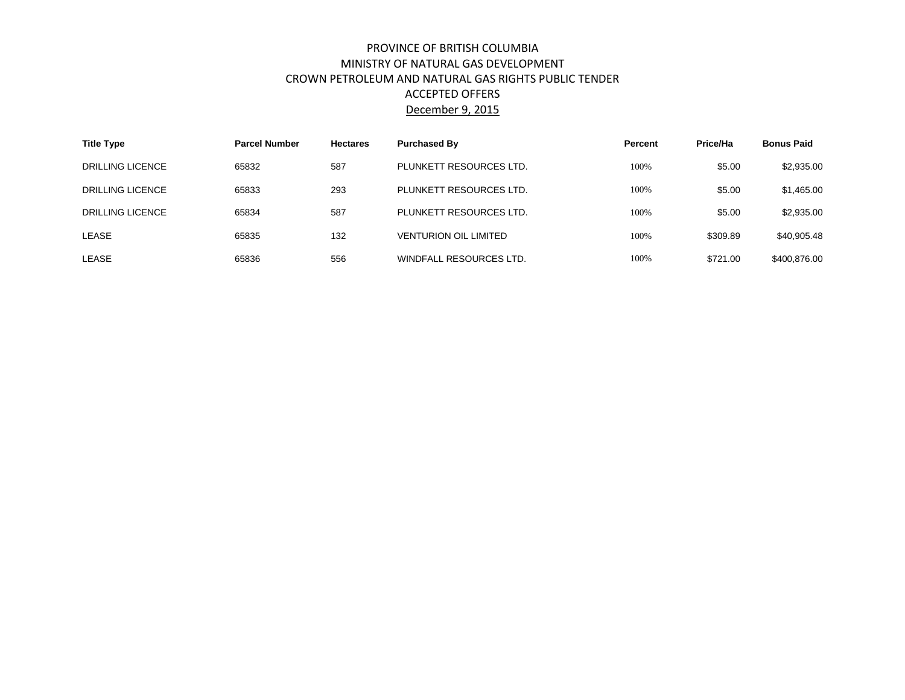## PROVINCE OF BRITISH COLUMBIA MINISTRY OF NATURAL GAS DEVELOPMENT CROWN PETROLEUM AND NATURAL GAS RIGHTS PUBLIC TENDER ACCEPTED OFFERS December 9, 2015

| <b>Title Type</b>       | <b>Parcel Number</b><br><b>Purchased By</b><br><b>Hectares</b> |     | Percent                      | Price/Ha | <b>Bonus Paid</b> |              |
|-------------------------|----------------------------------------------------------------|-----|------------------------------|----------|-------------------|--------------|
| <b>DRILLING LICENCE</b> | 65832                                                          | 587 | PLUNKETT RESOURCES LTD.      | 100%     | \$5.00            | \$2,935.00   |
| DRILLING LICENCE        | 65833                                                          | 293 | PLUNKETT RESOURCES LTD.      | 100%     | \$5.00            | \$1,465.00   |
| DRILLING LICENCE        | 65834                                                          | 587 | PLUNKETT RESOURCES LTD.      | 100%     | \$5.00            | \$2,935,00   |
| LEASE                   | 65835                                                          | 132 | <b>VENTURION OIL LIMITED</b> | 100%     | \$309.89          | \$40,905.48  |
| LEASE                   | 65836                                                          | 556 | WINDFALL RESOURCES LTD.      | 100%     | \$721.00          | \$400,876,00 |